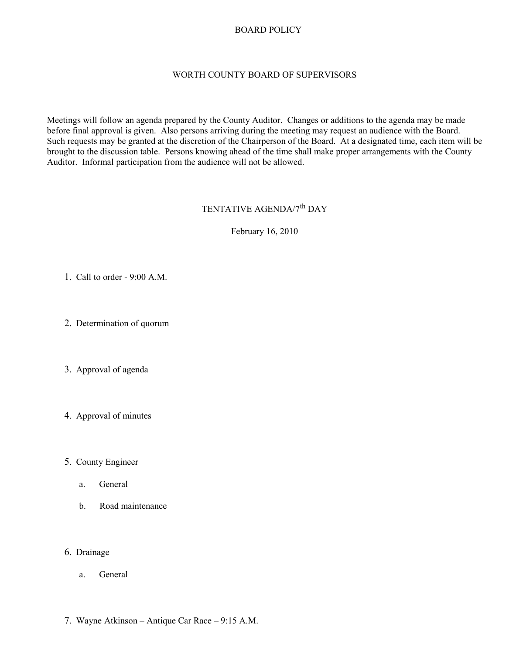## BOARD POLICY

## WORTH COUNTY BOARD OF SUPERVISORS

Meetings will follow an agenda prepared by the County Auditor. Changes or additions to the agenda may be made before final approval is given. Also persons arriving during the meeting may request an audience with the Board. Such requests may be granted at the discretion of the Chairperson of the Board. At a designated time, each item will be brought to the discussion table. Persons knowing ahead of the time shall make proper arrangements with the County Auditor. Informal participation from the audience will not be allowed.

## TENTATIVE AGENDA/7<sup>th</sup> DAY

February 16, 2010

- 1. Call to order 9:00 A.M.
- 2. Determination of quorum
- 3. Approval of agenda
- 4. Approval of minutes
- 5. County Engineer
	- a. General
	- b. Road maintenance

## 6. Drainage

- a. General
- 7. Wayne Atkinson Antique Car Race 9:15 A.M.